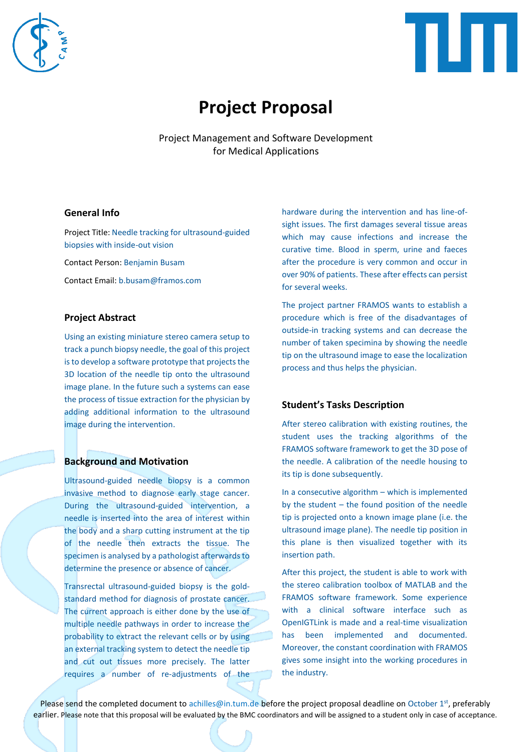



# **Project Proposal**

Project Management and Software Development for Medical Applications

#### **General Info**

Project Title: Needle tracking for ultrasound-guided biopsies with inside-out vision

Contact Person: Benjamin Busam

Contact Email: b.busam@framos.com

### **Project Abstract**

Using an existing miniature stereo camera setup to track a punch biopsy needle, the goal of this project is to develop a software prototype that projects the 3D location of the needle tip onto the ultrasound image plane. In the future such a systems can ease the process of tissue extraction for the physician by adding additional information to the ultrasound image during the intervention.

### **Background and Motivation**

Ultrasound-guided needle biopsy is a common invasive method to diagnose early stage cancer. During the ultrasound-guided intervention, a needle is inserted into the area of interest within the body and a sharp cutting instrument at the tip of the needle then extracts the tissue. The specimen is analysed by a pathologist afterwards to determine the presence or absence of cancer.

Transrectal ultrasound-guided biopsy is the goldstandard method for diagnosis of prostate cancer. The current approach is either done by the use of multiple needle pathways in order to increase the probability to extract the relevant cells or by using an external tracking system to detect the needle tip and cut out tissues more precisely. The latter requires a number of re-adjustments of the hardware during the intervention and has line-ofsight issues. The first damages several tissue areas which may cause infections and increase the curative time. Blood in sperm, urine and faeces after the procedure is very common and occur in over 90% of patients. These after effects can persist for several weeks.

The project partner FRAMOS wants to establish a procedure which is free of the disadvantages of outside-in tracking systems and can decrease the number of taken specimina by showing the needle tip on the ultrasound image to ease the localization process and thus helps the physician.

### **Student's Tasks Description**

After stereo calibration with existing routines, the student uses the tracking algorithms of the FRAMOS software framework to get the 3D pose of the needle. A calibration of the needle housing to its tip is done subsequently.

In a consecutive algorithm – which is implemented by the student – the found position of the needle tip is projected onto a known image plane (i.e. the ultrasound image plane). The needle tip position in this plane is then visualized together with its insertion path.

After this project, the student is able to work with the stereo calibration toolbox of MATLAB and the FRAMOS software framework. Some experience with a clinical software interface such as OpenIGTLink is made and a real-time visualization has been implemented and documented. Moreover, the constant coordination with FRAMOS gives some insight into the working procedures in the industry.

Please send the completed document to achilles@in.tum.de before the project proposal deadline on October 1<sup>st</sup>, preferably earlier. Please note that this proposal will be evaluated by the BMC coordinators and will be assigned to a student only in case of acceptance.